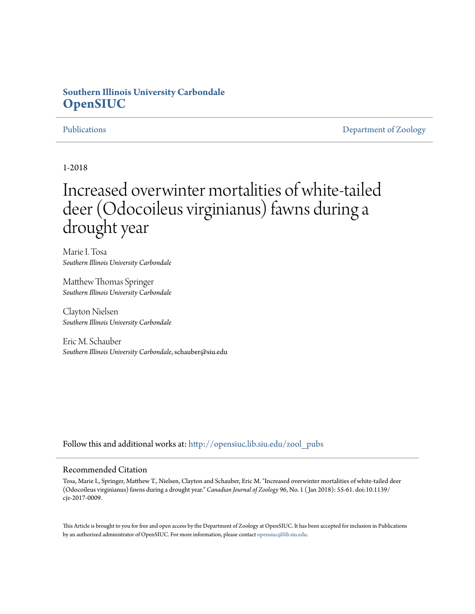## **Southern Illinois University Carbondale [OpenSIUC](http://opensiuc.lib.siu.edu?utm_source=opensiuc.lib.siu.edu%2Fzool_pubs%2F123&utm_medium=PDF&utm_campaign=PDFCoverPages)**

[Publications](http://opensiuc.lib.siu.edu/zool_pubs?utm_source=opensiuc.lib.siu.edu%2Fzool_pubs%2F123&utm_medium=PDF&utm_campaign=PDFCoverPages) **[Department of Zoology](http://opensiuc.lib.siu.edu/zool?utm_source=opensiuc.lib.siu.edu%2Fzool_pubs%2F123&utm_medium=PDF&utm_campaign=PDFCoverPages)** 

1-2018

# Increased overwinter mortalities of white-tailed deer (Odocoileus virginianus) fawns during a drought year

Marie I. Tosa *Southern Illinois University Carbondale*

Matthew Thomas Springer *Southern Illinois University Carbondale*

Clayton Nielsen *Southern Illinois University Carbondale*

Eric M. Schauber *Southern Illinois University Carbondale*, schauber@siu.edu

Follow this and additional works at: [http://opensiuc.lib.siu.edu/zool\\_pubs](http://opensiuc.lib.siu.edu/zool_pubs?utm_source=opensiuc.lib.siu.edu%2Fzool_pubs%2F123&utm_medium=PDF&utm_campaign=PDFCoverPages)

#### Recommended Citation

Tosa, Marie I., Springer, Matthew T., Nielsen, Clayton and Schauber, Eric M. "Increased overwinter mortalities of white-tailed deer (Odocoileus virginianus) fawns during a drought year." *Canadian Journal of Zoology* 96, No. 1 ( Jan 2018): 55-61. doi:10.1139/ cjz-2017-0009.

This Article is brought to you for free and open access by the Department of Zoology at OpenSIUC. It has been accepted for inclusion in Publications by an authorized administrator of OpenSIUC. For more information, please contact [opensiuc@lib.siu.edu.](mailto:opensiuc@lib.siu.edu)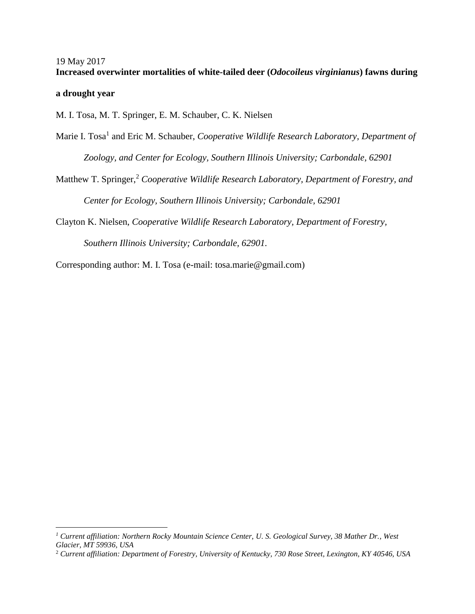### 19 May 2017 **Increased overwinter mortalities of white-tailed deer (***Odocoileus virginianus***) fawns during**

#### **a drought year**

 $\overline{a}$ 

M. I. Tosa, M. T. Springer, E. M. Schauber, C. K. Nielsen

- Marie I. Tosa<sup>1</sup> and Eric M. Schauber, *Cooperative Wildlife Research Laboratory, Department of Zoology, and Center for Ecology, Southern Illinois University; Carbondale, 62901*
- Matthew T. Springer, <sup>2</sup> *Cooperative Wildlife Research Laboratory, Department of Forestry, and Center for Ecology, Southern Illinois University; Carbondale, 62901*

Clayton K. Nielsen, *Cooperative Wildlife Research Laboratory, Department of Forestry, Southern Illinois University; Carbondale, 62901.*

Corresponding author: M. I. Tosa (e-mail: tosa.marie@gmail.com)

*<sup>1</sup> Current affiliation: Northern Rocky Mountain Science Center, U. S. Geological Survey, 38 Mather Dr., West Glacier, MT 59936, USA*

<sup>2</sup> *Current affiliation: Department of Forestry, University of Kentucky, 730 Rose Street, Lexington, KY 40546, USA*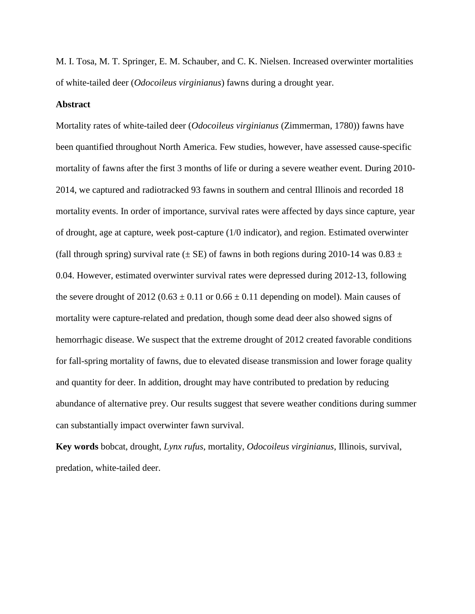M. I. Tosa, M. T. Springer, E. M. Schauber, and C. K. Nielsen. Increased overwinter mortalities of white-tailed deer (*Odocoileus virginianus*) fawns during a drought year.

#### **Abstract**

Mortality rates of white-tailed deer (*Odocoileus virginianus* (Zimmerman, 1780)) fawns have been quantified throughout North America. Few studies, however, have assessed cause-specific mortality of fawns after the first 3 months of life or during a severe weather event. During 2010- 2014, we captured and radiotracked 93 fawns in southern and central Illinois and recorded 18 mortality events. In order of importance, survival rates were affected by days since capture, year of drought, age at capture, week post-capture (1/0 indicator), and region. Estimated overwinter (fall through spring) survival rate ( $\pm$  SE) of fawns in both regions during 2010-14 was 0.83  $\pm$ 0.04. However, estimated overwinter survival rates were depressed during 2012-13, following the severe drought of  $2012 (0.63 \pm 0.11)$  or  $0.66 \pm 0.11$  depending on model). Main causes of mortality were capture-related and predation, though some dead deer also showed signs of hemorrhagic disease. We suspect that the extreme drought of 2012 created favorable conditions for fall-spring mortality of fawns, due to elevated disease transmission and lower forage quality and quantity for deer. In addition, drought may have contributed to predation by reducing abundance of alternative prey. Our results suggest that severe weather conditions during summer can substantially impact overwinter fawn survival.

**Key words** bobcat, drought, *Lynx rufus*, mortality, *Odocoileus virginianus*, Illinois, survival, predation, white-tailed deer.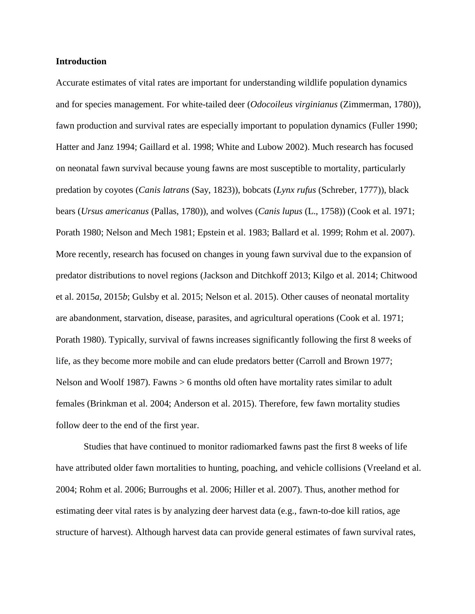#### **Introduction**

Accurate estimates of vital rates are important for understanding wildlife population dynamics and for species management. For white-tailed deer (*Odocoileus virginianus* (Zimmerman, 1780)), fawn production and survival rates are especially important to population dynamics (Fuller 1990; Hatter and Janz 1994; Gaillard et al. 1998; White and Lubow 2002). Much research has focused on neonatal fawn survival because young fawns are most susceptible to mortality, particularly predation by coyotes (*Canis latrans* (Say, 1823)), bobcats (*Lynx rufus* (Schreber, 1777)), black bears (*Ursus americanus* (Pallas, 1780)), and wolves (*Canis lupus* (L., 1758)) (Cook et al. 1971; Porath 1980; Nelson and Mech 1981; Epstein et al. 1983; Ballard et al. 1999; Rohm et al. 2007). More recently, research has focused on changes in young fawn survival due to the expansion of predator distributions to novel regions (Jackson and Ditchkoff 2013; Kilgo et al. 2014; Chitwood et al. 2015*a*, 2015*b*; Gulsby et al. 2015; Nelson et al. 2015). Other causes of neonatal mortality are abandonment, starvation, disease, parasites, and agricultural operations (Cook et al. 1971; Porath 1980). Typically, survival of fawns increases significantly following the first 8 weeks of life, as they become more mobile and can elude predators better (Carroll and Brown 1977; Nelson and Woolf 1987). Fawns > 6 months old often have mortality rates similar to adult females (Brinkman et al. 2004; Anderson et al. 2015). Therefore, few fawn mortality studies follow deer to the end of the first year.

Studies that have continued to monitor radiomarked fawns past the first 8 weeks of life have attributed older fawn mortalities to hunting, poaching, and vehicle collisions (Vreeland et al. 2004; Rohm et al. 2006; Burroughs et al. 2006; Hiller et al. 2007). Thus, another method for estimating deer vital rates is by analyzing deer harvest data (e.g., fawn-to-doe kill ratios, age structure of harvest). Although harvest data can provide general estimates of fawn survival rates,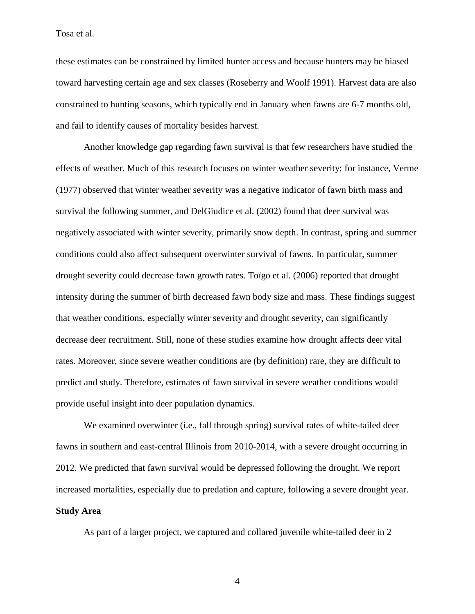these estimates can be constrained by limited hunter access and because hunters may be biased toward harvesting certain age and sex classes (Roseberry and Woolf 1991). Harvest data are also constrained to hunting seasons, which typically end in January when fawns are 6-7 months old, and fail to identify causes of mortality besides harvest.

Another knowledge gap regarding fawn survival is that few researchers have studied the effects of weather. Much of this research focuses on winter weather severity; for instance, Verme (1977) observed that winter weather severity was a negative indicator of fawn birth mass and survival the following summer, and DelGiudice et al. (2002) found that deer survival was negatively associated with winter severity, primarily snow depth. In contrast, spring and summer conditions could also affect subsequent overwinter survival of fawns. In particular, summer drought severity could decrease fawn growth rates. Toïgo et al. (2006) reported that drought intensity during the summer of birth decreased fawn body size and mass. These findings suggest that weather conditions, especially winter severity and drought severity, can significantly decrease deer recruitment. Still, none of these studies examine how drought affects deer vital rates. Moreover, since severe weather conditions are (by definition) rare, they are difficult to predict and study. Therefore, estimates of fawn survival in severe weather conditions would provide useful insight into deer population dynamics.

We examined overwinter (i.e., fall through spring) survival rates of white-tailed deer fawns in southern and east-central Illinois from 2010-2014, with a severe drought occurring in 2012. We predicted that fawn survival would be depressed following the drought. We report increased mortalities, especially due to predation and capture, following a severe drought year. **Study Area**

As part of a larger project, we captured and collared juvenile white-tailed deer in 2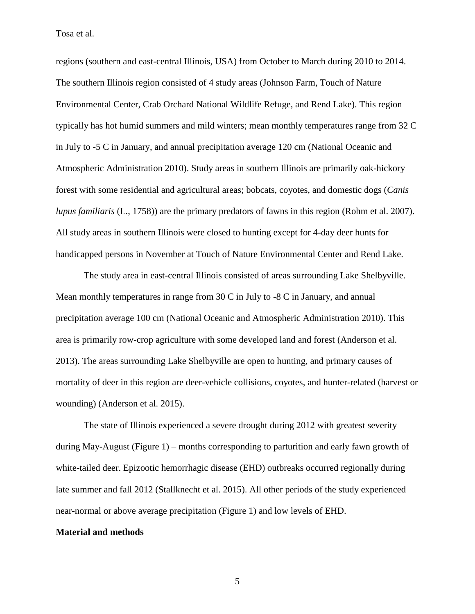regions (southern and east-central Illinois, USA) from October to March during 2010 to 2014. The southern Illinois region consisted of 4 study areas (Johnson Farm, Touch of Nature Environmental Center, Crab Orchard National Wildlife Refuge, and Rend Lake). This region typically has hot humid summers and mild winters; mean monthly temperatures range from 32 C in July to -5 C in January, and annual precipitation average 120 cm (National Oceanic and Atmospheric Administration 2010). Study areas in southern Illinois are primarily oak-hickory forest with some residential and agricultural areas; bobcats, coyotes, and domestic dogs (*Canis lupus familiaris* (L., 1758)) are the primary predators of fawns in this region (Rohm et al. 2007). All study areas in southern Illinois were closed to hunting except for 4-day deer hunts for handicapped persons in November at Touch of Nature Environmental Center and Rend Lake.

The study area in east-central Illinois consisted of areas surrounding Lake Shelbyville. Mean monthly temperatures in range from  $30 \text{ C}$  in July to  $-8 \text{ C}$  in January, and annual precipitation average 100 cm (National Oceanic and Atmospheric Administration 2010). This area is primarily row-crop agriculture with some developed land and forest (Anderson et al. 2013). The areas surrounding Lake Shelbyville are open to hunting, and primary causes of mortality of deer in this region are deer-vehicle collisions, coyotes, and hunter-related (harvest or wounding) (Anderson et al. 2015).

The state of Illinois experienced a severe drought during 2012 with greatest severity during May-August (Figure 1) – months corresponding to parturition and early fawn growth of white-tailed deer. Epizootic hemorrhagic disease (EHD) outbreaks occurred regionally during late summer and fall 2012 (Stallknecht et al. 2015). All other periods of the study experienced near-normal or above average precipitation (Figure 1) and low levels of EHD.

#### **Material and methods**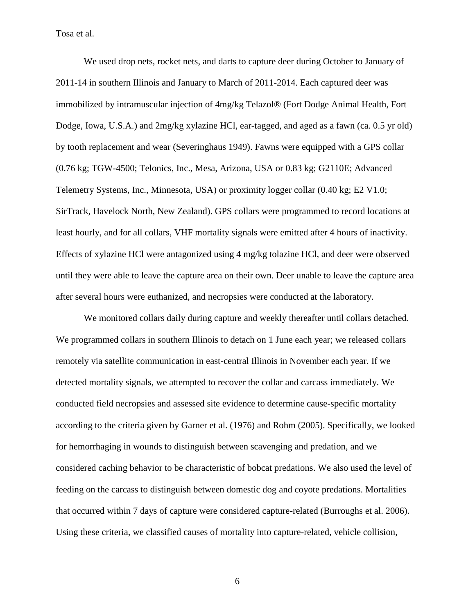We used drop nets, rocket nets, and darts to capture deer during October to January of 2011-14 in southern Illinois and January to March of 2011-2014. Each captured deer was immobilized by intramuscular injection of 4mg/kg Telazol® (Fort Dodge Animal Health, Fort Dodge, Iowa, U.S.A.) and 2mg/kg xylazine HCl, ear-tagged, and aged as a fawn (ca. 0.5 yr old) by tooth replacement and wear (Severinghaus 1949). Fawns were equipped with a GPS collar (0.76 kg; TGW-4500; Telonics, Inc., Mesa, Arizona, USA or 0.83 kg; G2110E; Advanced Telemetry Systems, Inc., Minnesota, USA) or proximity logger collar (0.40 kg; E2 V1.0; SirTrack, Havelock North, New Zealand). GPS collars were programmed to record locations at least hourly, and for all collars, VHF mortality signals were emitted after 4 hours of inactivity. Effects of xylazine HCl were antagonized using 4 mg/kg tolazine HCl, and deer were observed until they were able to leave the capture area on their own. Deer unable to leave the capture area after several hours were euthanized, and necropsies were conducted at the laboratory.

We monitored collars daily during capture and weekly thereafter until collars detached. We programmed collars in southern Illinois to detach on 1 June each year; we released collars remotely via satellite communication in east-central Illinois in November each year. If we detected mortality signals, we attempted to recover the collar and carcass immediately. We conducted field necropsies and assessed site evidence to determine cause-specific mortality according to the criteria given by Garner et al. (1976) and Rohm (2005). Specifically, we looked for hemorrhaging in wounds to distinguish between scavenging and predation, and we considered caching behavior to be characteristic of bobcat predations. We also used the level of feeding on the carcass to distinguish between domestic dog and coyote predations. Mortalities that occurred within 7 days of capture were considered capture-related (Burroughs et al. 2006). Using these criteria, we classified causes of mortality into capture-related, vehicle collision,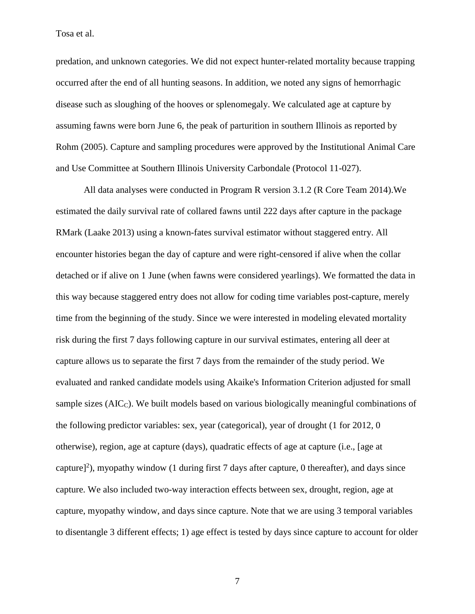predation, and unknown categories. We did not expect hunter-related mortality because trapping occurred after the end of all hunting seasons. In addition, we noted any signs of hemorrhagic disease such as sloughing of the hooves or splenomegaly. We calculated age at capture by assuming fawns were born June 6, the peak of parturition in southern Illinois as reported by Rohm (2005). Capture and sampling procedures were approved by the Institutional Animal Care and Use Committee at Southern Illinois University Carbondale (Protocol 11-027).

All data analyses were conducted in Program R version 3.1.2 (R Core Team 2014).We estimated the daily survival rate of collared fawns until 222 days after capture in the package RMark (Laake 2013) using a known-fates survival estimator without staggered entry. All encounter histories began the day of capture and were right-censored if alive when the collar detached or if alive on 1 June (when fawns were considered yearlings). We formatted the data in this way because staggered entry does not allow for coding time variables post-capture, merely time from the beginning of the study. Since we were interested in modeling elevated mortality risk during the first 7 days following capture in our survival estimates, entering all deer at capture allows us to separate the first 7 days from the remainder of the study period. We evaluated and ranked candidate models using Akaike's Information Criterion adjusted for small sample sizes (AIC<sub>C</sub>). We built models based on various biologically meaningful combinations of the following predictor variables: sex, year (categorical), year of drought (1 for 2012, 0 otherwise), region, age at capture (days), quadratic effects of age at capture (i.e., [age at capture]<sup>2</sup>), myopathy window (1 during first 7 days after capture, 0 thereafter), and days since capture. We also included two-way interaction effects between sex, drought, region, age at capture, myopathy window, and days since capture. Note that we are using 3 temporal variables to disentangle 3 different effects; 1) age effect is tested by days since capture to account for older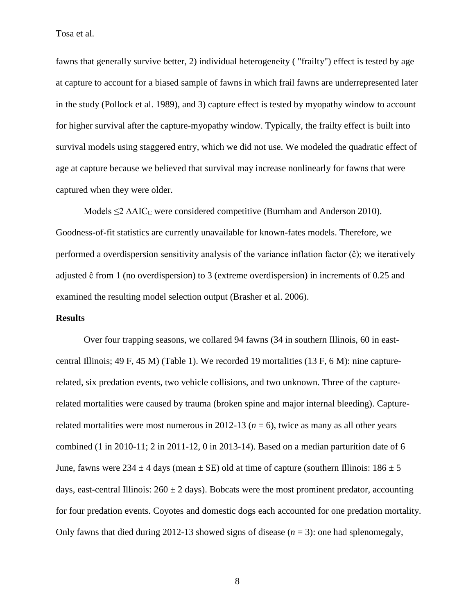fawns that generally survive better, 2) individual heterogeneity ( "frailty") effect is tested by age at capture to account for a biased sample of fawns in which frail fawns are underrepresented later in the study (Pollock et al. 1989), and 3) capture effect is tested by myopathy window to account for higher survival after the capture-myopathy window. Typically, the frailty effect is built into survival models using staggered entry, which we did not use. We modeled the quadratic effect of age at capture because we believed that survival may increase nonlinearly for fawns that were captured when they were older.

Models  $\leq$   $\Delta AIC_C$  were considered competitive (Burnham and Anderson 2010). Goodness-of-fit statistics are currently unavailable for known-fates models. Therefore, we performed a overdispersion sensitivity analysis of the variance inflation factor (ĉ); we iteratively adjusted ĉ from 1 (no overdispersion) to 3 (extreme overdispersion) in increments of 0.25 and examined the resulting model selection output (Brasher et al. 2006).

#### **Results**

Over four trapping seasons, we collared 94 fawns (34 in southern Illinois, 60 in eastcentral Illinois; 49 F, 45 M) (Table 1). We recorded 19 mortalities (13 F, 6 M): nine capturerelated, six predation events, two vehicle collisions, and two unknown. Three of the capturerelated mortalities were caused by trauma (broken spine and major internal bleeding). Capturerelated mortalities were most numerous in 2012-13 ( $n = 6$ ), twice as many as all other years combined (1 in 2010-11; 2 in 2011-12, 0 in 2013-14). Based on a median parturition date of 6 June, fawns were  $234 \pm 4$  days (mean  $\pm$  SE) old at time of capture (southern Illinois:  $186 \pm 5$ days, east-central Illinois:  $260 \pm 2$  days). Bobcats were the most prominent predator, accounting for four predation events. Coyotes and domestic dogs each accounted for one predation mortality. Only fawns that died during 2012-13 showed signs of disease (*n* = 3): one had splenomegaly,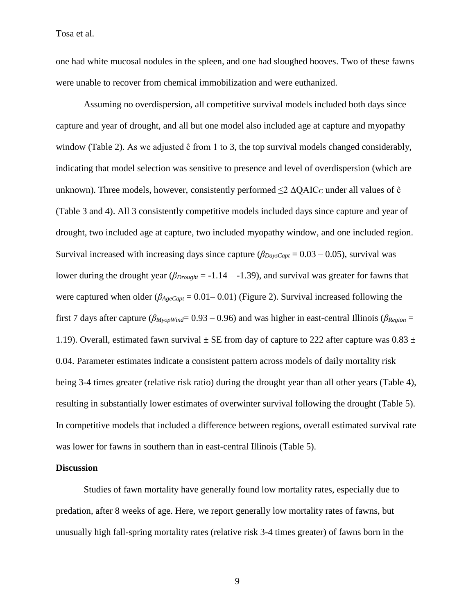one had white mucosal nodules in the spleen, and one had sloughed hooves. Two of these fawns were unable to recover from chemical immobilization and were euthanized.

Assuming no overdispersion, all competitive survival models included both days since capture and year of drought, and all but one model also included age at capture and myopathy window (Table 2). As we adjusted  $\hat{c}$  from 1 to 3, the top survival models changed considerably, indicating that model selection was sensitive to presence and level of overdispersion (which are unknown). Three models, however, consistently performed  $\leq 2 \Delta Q AIC_C$  under all values of  $\hat{c}$ (Table 3 and 4). All 3 consistently competitive models included days since capture and year of drought, two included age at capture, two included myopathy window, and one included region. Survival increased with increasing days since capture  $(\beta_{DaysCapt} = 0.03 - 0.05)$ , survival was lower during the drought year (*βDrought* = -1.14 – -1.39), and survival was greater for fawns that were captured when older (*βAgeCapt* = 0.01– 0.01) (Figure 2). Survival increased following the first 7 days after capture (*βMyopWind*= 0.93 – 0.96) and was higher in east-central Illinois (*βRegion* = 1.19). Overall, estimated fawn survival  $\pm$  SE from day of capture to 222 after capture was 0.83  $\pm$ 0.04. Parameter estimates indicate a consistent pattern across models of daily mortality risk being 3-4 times greater (relative risk ratio) during the drought year than all other years (Table 4), resulting in substantially lower estimates of overwinter survival following the drought (Table 5). In competitive models that included a difference between regions, overall estimated survival rate was lower for fawns in southern than in east-central Illinois (Table 5).

#### **Discussion**

Studies of fawn mortality have generally found low mortality rates, especially due to predation, after 8 weeks of age. Here, we report generally low mortality rates of fawns, but unusually high fall-spring mortality rates (relative risk 3-4 times greater) of fawns born in the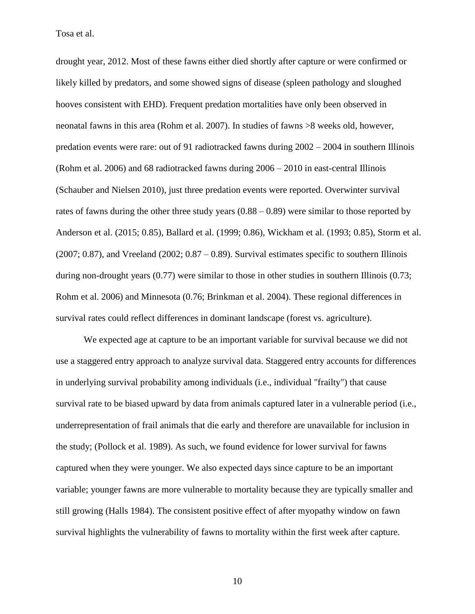drought year, 2012. Most of these fawns either died shortly after capture or were confirmed or likely killed by predators, and some showed signs of disease (spleen pathology and sloughed hooves consistent with EHD). Frequent predation mortalities have only been observed in neonatal fawns in this area (Rohm et al. 2007). In studies of fawns >8 weeks old, however, predation events were rare: out of 91 radiotracked fawns during 2002 – 2004 in southern Illinois (Rohm et al. 2006) and 68 radiotracked fawns during 2006 – 2010 in east-central Illinois (Schauber and Nielsen 2010), just three predation events were reported. Overwinter survival rates of fawns during the other three study years  $(0.88 - 0.89)$  were similar to those reported by Anderson et al. (2015; 0.85), Ballard et al. (1999; 0.86), Wickham et al. (1993; 0.85), Storm et al.  $(2007; 0.87)$ , and Vreeland  $(2002; 0.87 - 0.89)$ . Survival estimates specific to southern Illinois during non-drought years (0.77) were similar to those in other studies in southern Illinois (0.73; Rohm et al. 2006) and Minnesota (0.76; Brinkman et al. 2004). These regional differences in survival rates could reflect differences in dominant landscape (forest vs. agriculture).

We expected age at capture to be an important variable for survival because we did not use a staggered entry approach to analyze survival data. Staggered entry accounts for differences in underlying survival probability among individuals (i.e., individual "frailty") that cause survival rate to be biased upward by data from animals captured later in a vulnerable period (i.e., underrepresentation of frail animals that die early and therefore are unavailable for inclusion in the study; (Pollock et al. 1989). As such, we found evidence for lower survival for fawns captured when they were younger. We also expected days since capture to be an important variable; younger fawns are more vulnerable to mortality because they are typically smaller and still growing (Halls 1984). The consistent positive effect of after myopathy window on fawn survival highlights the vulnerability of fawns to mortality within the first week after capture.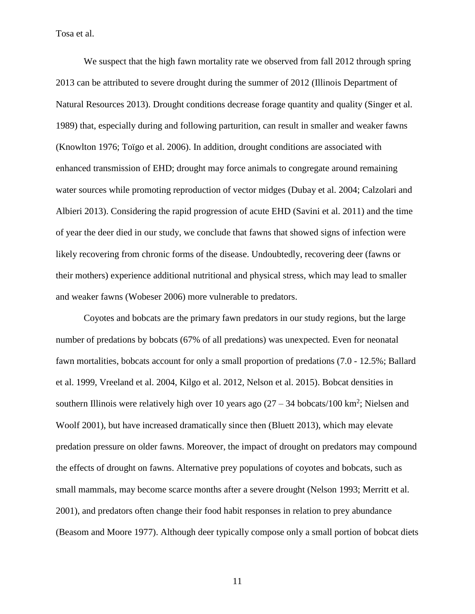We suspect that the high fawn mortality rate we observed from fall 2012 through spring 2013 can be attributed to severe drought during the summer of 2012 (Illinois Department of Natural Resources 2013). Drought conditions decrease forage quantity and quality (Singer et al. 1989) that, especially during and following parturition, can result in smaller and weaker fawns (Knowlton 1976; Toïgo et al. 2006). In addition, drought conditions are associated with enhanced transmission of EHD; drought may force animals to congregate around remaining water sources while promoting reproduction of vector midges (Dubay et al. 2004; Calzolari and Albieri 2013). Considering the rapid progression of acute EHD (Savini et al. 2011) and the time of year the deer died in our study, we conclude that fawns that showed signs of infection were likely recovering from chronic forms of the disease. Undoubtedly, recovering deer (fawns or their mothers) experience additional nutritional and physical stress, which may lead to smaller and weaker fawns (Wobeser 2006) more vulnerable to predators.

Coyotes and bobcats are the primary fawn predators in our study regions, but the large number of predations by bobcats (67% of all predations) was unexpected. Even for neonatal fawn mortalities, bobcats account for only a small proportion of predations (7.0 - 12.5%; Ballard et al. 1999, Vreeland et al. 2004, Kilgo et al. 2012, Nelson et al. 2015). Bobcat densities in southern Illinois were relatively high over 10 years ago  $(27 – 34$  bobcats/100 km<sup>2</sup>; Nielsen and Woolf 2001), but have increased dramatically since then (Bluett 2013), which may elevate predation pressure on older fawns. Moreover, the impact of drought on predators may compound the effects of drought on fawns. Alternative prey populations of coyotes and bobcats, such as small mammals, may become scarce months after a severe drought (Nelson 1993; Merritt et al. 2001), and predators often change their food habit responses in relation to prey abundance (Beasom and Moore 1977). Although deer typically compose only a small portion of bobcat diets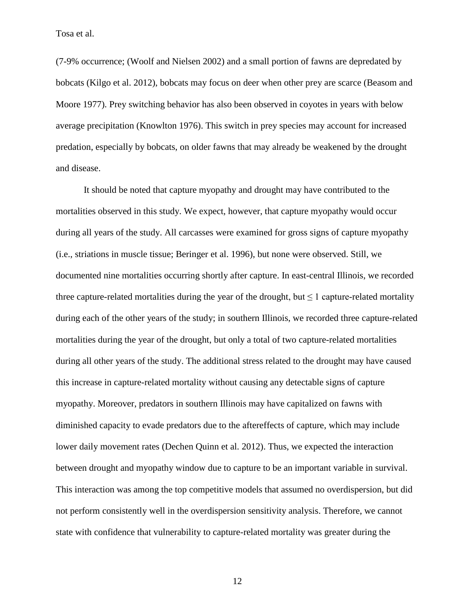(7-9% occurrence; (Woolf and Nielsen 2002) and a small portion of fawns are depredated by bobcats (Kilgo et al. 2012), bobcats may focus on deer when other prey are scarce (Beasom and Moore 1977). Prey switching behavior has also been observed in coyotes in years with below average precipitation (Knowlton 1976). This switch in prey species may account for increased predation, especially by bobcats, on older fawns that may already be weakened by the drought and disease.

It should be noted that capture myopathy and drought may have contributed to the mortalities observed in this study. We expect, however, that capture myopathy would occur during all years of the study. All carcasses were examined for gross signs of capture myopathy (i.e., striations in muscle tissue; Beringer et al. 1996), but none were observed. Still, we documented nine mortalities occurring shortly after capture. In east-central Illinois, we recorded three capture-related mortalities during the year of the drought, but  $\leq 1$  capture-related mortality during each of the other years of the study; in southern Illinois, we recorded three capture-related mortalities during the year of the drought, but only a total of two capture-related mortalities during all other years of the study. The additional stress related to the drought may have caused this increase in capture-related mortality without causing any detectable signs of capture myopathy. Moreover, predators in southern Illinois may have capitalized on fawns with diminished capacity to evade predators due to the aftereffects of capture, which may include lower daily movement rates (Dechen Quinn et al. 2012). Thus, we expected the interaction between drought and myopathy window due to capture to be an important variable in survival. This interaction was among the top competitive models that assumed no overdispersion, but did not perform consistently well in the overdispersion sensitivity analysis. Therefore, we cannot state with confidence that vulnerability to capture-related mortality was greater during the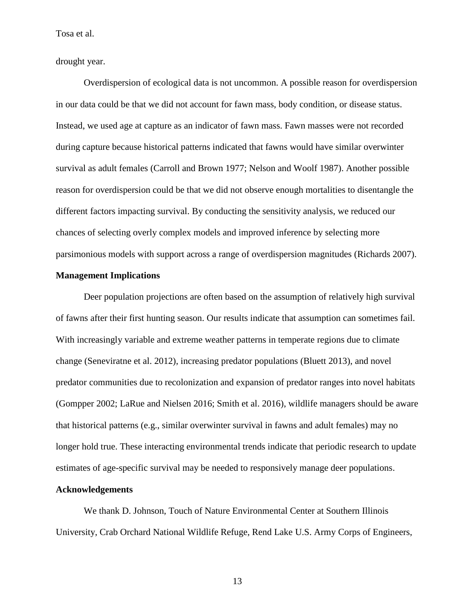drought year.

Overdispersion of ecological data is not uncommon. A possible reason for overdispersion in our data could be that we did not account for fawn mass, body condition, or disease status. Instead, we used age at capture as an indicator of fawn mass. Fawn masses were not recorded during capture because historical patterns indicated that fawns would have similar overwinter survival as adult females (Carroll and Brown 1977; Nelson and Woolf 1987). Another possible reason for overdispersion could be that we did not observe enough mortalities to disentangle the different factors impacting survival. By conducting the sensitivity analysis, we reduced our chances of selecting overly complex models and improved inference by selecting more parsimonious models with support across a range of overdispersion magnitudes (Richards 2007).

#### **Management Implications**

Deer population projections are often based on the assumption of relatively high survival of fawns after their first hunting season. Our results indicate that assumption can sometimes fail. With increasingly variable and extreme weather patterns in temperate regions due to climate change (Seneviratne et al. 2012), increasing predator populations (Bluett 2013), and novel predator communities due to recolonization and expansion of predator ranges into novel habitats (Gompper 2002; LaRue and Nielsen 2016; Smith et al. 2016), wildlife managers should be aware that historical patterns (e.g., similar overwinter survival in fawns and adult females) may no longer hold true. These interacting environmental trends indicate that periodic research to update estimates of age-specific survival may be needed to responsively manage deer populations.

#### **Acknowledgements**

We thank D. Johnson, Touch of Nature Environmental Center at Southern Illinois University, Crab Orchard National Wildlife Refuge, Rend Lake U.S. Army Corps of Engineers,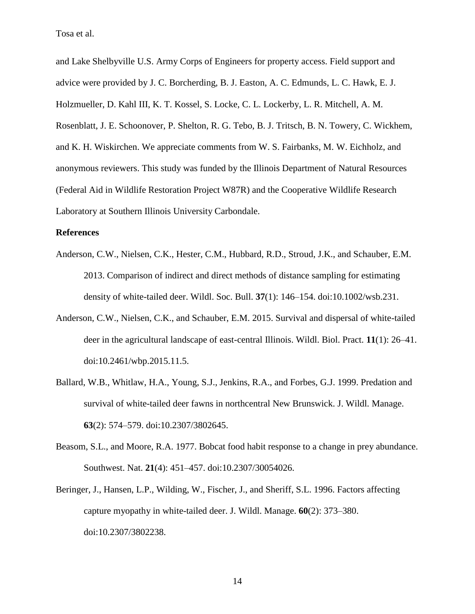and Lake Shelbyville U.S. Army Corps of Engineers for property access. Field support and advice were provided by J. C. Borcherding, B. J. Easton, A. C. Edmunds, L. C. Hawk, E. J. Holzmueller, D. Kahl III, K. T. Kossel, S. Locke, C. L. Lockerby, L. R. Mitchell, A. M. Rosenblatt, J. E. Schoonover, P. Shelton, R. G. Tebo, B. J. Tritsch, B. N. Towery, C. Wickhem, and K. H. Wiskirchen. We appreciate comments from W. S. Fairbanks, M. W. Eichholz, and anonymous reviewers. This study was funded by the Illinois Department of Natural Resources (Federal Aid in Wildlife Restoration Project W87R) and the Cooperative Wildlife Research Laboratory at Southern Illinois University Carbondale.

#### **References**

- Anderson, C.W., Nielsen, C.K., Hester, C.M., Hubbard, R.D., Stroud, J.K., and Schauber, E.M. 2013. Comparison of indirect and direct methods of distance sampling for estimating density of white-tailed deer. Wildl. Soc. Bull. **37**(1): 146–154. doi:10.1002/wsb.231.
- Anderson, C.W., Nielsen, C.K., and Schauber, E.M. 2015. Survival and dispersal of white-tailed deer in the agricultural landscape of east-central Illinois. Wildl. Biol. Pract. **11**(1): 26–41. doi:10.2461/wbp.2015.11.5.
- Ballard, W.B., Whitlaw, H.A., Young, S.J., Jenkins, R.A., and Forbes, G.J. 1999. Predation and survival of white-tailed deer fawns in northcentral New Brunswick. J. Wildl. Manage. **63**(2): 574–579. doi:10.2307/3802645.
- Beasom, S.L., and Moore, R.A. 1977. Bobcat food habit response to a change in prey abundance. Southwest. Nat. **21**(4): 451–457. doi:10.2307/30054026.
- Beringer, J., Hansen, L.P., Wilding, W., Fischer, J., and Sheriff, S.L. 1996. Factors affecting capture myopathy in white-tailed deer. J. Wildl. Manage. **60**(2): 373–380. doi:10.2307/3802238.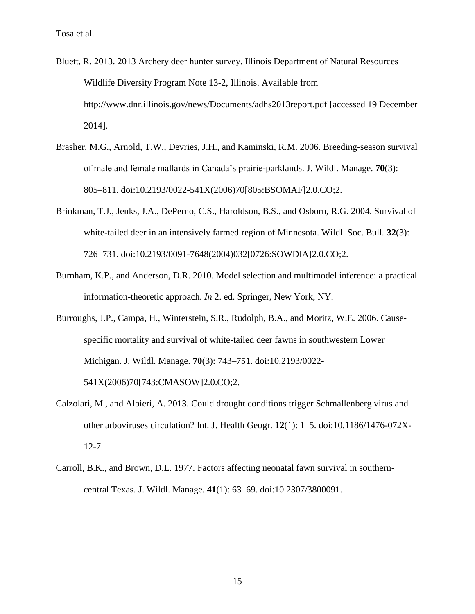- Bluett, R. 2013. 2013 Archery deer hunter survey. Illinois Department of Natural Resources Wildlife Diversity Program Note 13-2, Illinois. Available from http://www.dnr.illinois.gov/news/Documents/adhs2013report.pdf [accessed 19 December 2014].
- Brasher, M.G., Arnold, T.W., Devries, J.H., and Kaminski, R.M. 2006. Breeding-season survival of male and female mallards in Canada's prairie-parklands. J. Wildl. Manage. **70**(3): 805–811. doi:10.2193/0022-541X(2006)70[805:BSOMAF]2.0.CO;2.
- Brinkman, T.J., Jenks, J.A., DePerno, C.S., Haroldson, B.S., and Osborn, R.G. 2004. Survival of white-tailed deer in an intensively farmed region of Minnesota. Wildl. Soc. Bull. **32**(3): 726–731. doi:10.2193/0091-7648(2004)032[0726:SOWDIA]2.0.CO;2.
- Burnham, K.P., and Anderson, D.R. 2010. Model selection and multimodel inference: a practical information-theoretic approach. *In* 2. ed. Springer, New York, NY.
- Burroughs, J.P., Campa, H., Winterstein, S.R., Rudolph, B.A., and Moritz, W.E. 2006. Causespecific mortality and survival of white-tailed deer fawns in southwestern Lower Michigan. J. Wildl. Manage. **70**(3): 743–751. doi:10.2193/0022- 541X(2006)70[743:CMASOW]2.0.CO;2.
- Calzolari, M., and Albieri, A. 2013. Could drought conditions trigger Schmallenberg virus and other arboviruses circulation? Int. J. Health Geogr. **12**(1): 1–5. doi:10.1186/1476-072X-12-7.
- Carroll, B.K., and Brown, D.L. 1977. Factors affecting neonatal fawn survival in southerncentral Texas. J. Wildl. Manage. **41**(1): 63–69. doi:10.2307/3800091.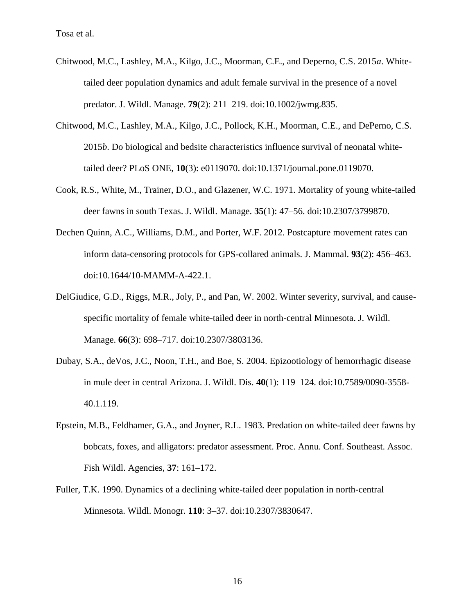- Chitwood, M.C., Lashley, M.A., Kilgo, J.C., Moorman, C.E., and Deperno, C.S. 2015*a*. Whitetailed deer population dynamics and adult female survival in the presence of a novel predator. J. Wildl. Manage. **79**(2): 211–219. doi:10.1002/jwmg.835.
- Chitwood, M.C., Lashley, M.A., Kilgo, J.C., Pollock, K.H., Moorman, C.E., and DePerno, C.S. 2015*b*. Do biological and bedsite characteristics influence survival of neonatal whitetailed deer? PLoS ONE, **10**(3): e0119070. doi:10.1371/journal.pone.0119070.
- Cook, R.S., White, M., Trainer, D.O., and Glazener, W.C. 1971. Mortality of young white-tailed deer fawns in south Texas. J. Wildl. Manage. **35**(1): 47–56. doi:10.2307/3799870.
- Dechen Quinn, A.C., Williams, D.M., and Porter, W.F. 2012. Postcapture movement rates can inform data-censoring protocols for GPS-collared animals. J. Mammal. **93**(2): 456–463. doi:10.1644/10-MAMM-A-422.1.
- DelGiudice, G.D., Riggs, M.R., Joly, P., and Pan, W. 2002. Winter severity, survival, and causespecific mortality of female white-tailed deer in north-central Minnesota. J. Wildl. Manage. **66**(3): 698–717. doi:10.2307/3803136.
- Dubay, S.A., deVos, J.C., Noon, T.H., and Boe, S. 2004. Epizootiology of hemorrhagic disease in mule deer in central Arizona. J. Wildl. Dis. **40**(1): 119–124. doi:10.7589/0090-3558- 40.1.119.
- Epstein, M.B., Feldhamer, G.A., and Joyner, R.L. 1983. Predation on white-tailed deer fawns by bobcats, foxes, and alligators: predator assessment. Proc. Annu. Conf. Southeast. Assoc. Fish Wildl. Agencies, **37**: 161–172.
- Fuller, T.K. 1990. Dynamics of a declining white-tailed deer population in north-central Minnesota. Wildl. Monogr. **110**: 3–37. doi:10.2307/3830647.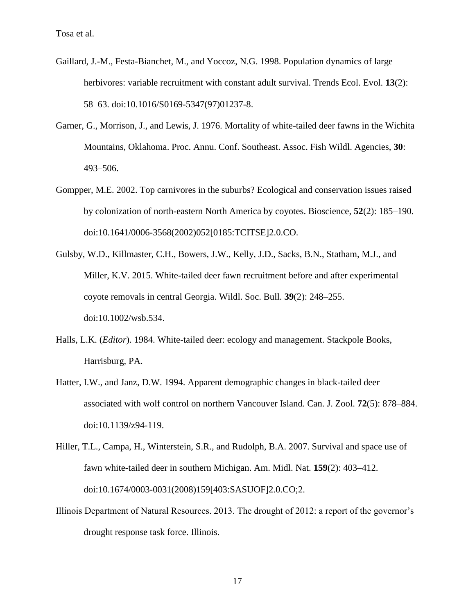- Gaillard, J.-M., Festa-Bianchet, M., and Yoccoz, N.G. 1998. Population dynamics of large herbivores: variable recruitment with constant adult survival. Trends Ecol. Evol. **13**(2): 58–63. doi:10.1016/S0169-5347(97)01237-8.
- Garner, G., Morrison, J., and Lewis, J. 1976. Mortality of white-tailed deer fawns in the Wichita Mountains, Oklahoma. Proc. Annu. Conf. Southeast. Assoc. Fish Wildl. Agencies, **30**: 493–506.
- Gompper, M.E. 2002. Top carnivores in the suburbs? Ecological and conservation issues raised by colonization of north-eastern North America by coyotes. Bioscience, **52**(2): 185–190. doi:10.1641/0006-3568(2002)052[0185:TCITSE]2.0.CO.
- Gulsby, W.D., Killmaster, C.H., Bowers, J.W., Kelly, J.D., Sacks, B.N., Statham, M.J., and Miller, K.V. 2015. White-tailed deer fawn recruitment before and after experimental coyote removals in central Georgia. Wildl. Soc. Bull. **39**(2): 248–255. doi:10.1002/wsb.534.
- Halls, L.K. (*Editor*). 1984. White-tailed deer: ecology and management. Stackpole Books, Harrisburg, PA.
- Hatter, I.W., and Janz, D.W. 1994. Apparent demographic changes in black-tailed deer associated with wolf control on northern Vancouver Island. Can. J. Zool. **72**(5): 878–884. doi:10.1139/z94-119.
- Hiller, T.L., Campa, H., Winterstein, S.R., and Rudolph, B.A. 2007. Survival and space use of fawn white-tailed deer in southern Michigan. Am. Midl. Nat. **159**(2): 403–412. doi:10.1674/0003-0031(2008)159[403:SASUOF]2.0.CO;2.
- Illinois Department of Natural Resources. 2013. The drought of 2012: a report of the governor's drought response task force. Illinois.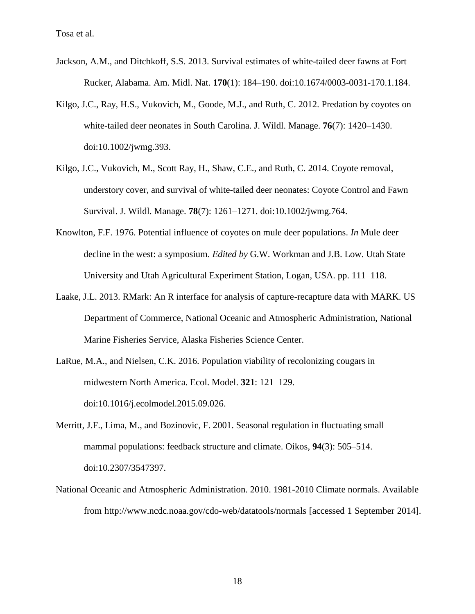- Jackson, A.M., and Ditchkoff, S.S. 2013. Survival estimates of white-tailed deer fawns at Fort Rucker, Alabama. Am. Midl. Nat. **170**(1): 184–190. doi:10.1674/0003-0031-170.1.184.
- Kilgo, J.C., Ray, H.S., Vukovich, M., Goode, M.J., and Ruth, C. 2012. Predation by coyotes on white-tailed deer neonates in South Carolina. J. Wildl. Manage. **76**(7): 1420–1430. doi:10.1002/jwmg.393.
- Kilgo, J.C., Vukovich, M., Scott Ray, H., Shaw, C.E., and Ruth, C. 2014. Coyote removal, understory cover, and survival of white-tailed deer neonates: Coyote Control and Fawn Survival. J. Wildl. Manage. **78**(7): 1261–1271. doi:10.1002/jwmg.764.
- Knowlton, F.F. 1976. Potential influence of coyotes on mule deer populations. *In* Mule deer decline in the west: a symposium. *Edited by* G.W. Workman and J.B. Low. Utah State University and Utah Agricultural Experiment Station, Logan, USA. pp. 111–118.
- Laake, J.L. 2013. RMark: An R interface for analysis of capture-recapture data with MARK. US Department of Commerce, National Oceanic and Atmospheric Administration, National Marine Fisheries Service, Alaska Fisheries Science Center.
- LaRue, M.A., and Nielsen, C.K. 2016. Population viability of recolonizing cougars in midwestern North America. Ecol. Model. **321**: 121–129. doi:10.1016/j.ecolmodel.2015.09.026.
- Merritt, J.F., Lima, M., and Bozinovic, F. 2001. Seasonal regulation in fluctuating small mammal populations: feedback structure and climate. Oikos, **94**(3): 505–514. doi:10.2307/3547397.
- National Oceanic and Atmospheric Administration. 2010. 1981-2010 Climate normals. Available from http://www.ncdc.noaa.gov/cdo-web/datatools/normals [accessed 1 September 2014].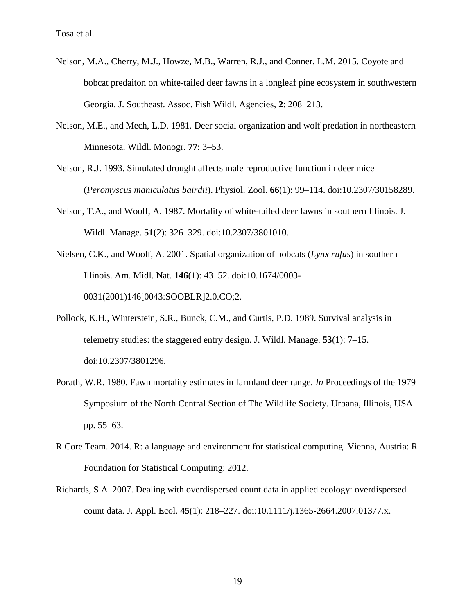- Nelson, M.A., Cherry, M.J., Howze, M.B., Warren, R.J., and Conner, L.M. 2015. Coyote and bobcat predaiton on white-tailed deer fawns in a longleaf pine ecosystem in southwestern Georgia. J. Southeast. Assoc. Fish Wildl. Agencies, **2**: 208–213.
- Nelson, M.E., and Mech, L.D. 1981. Deer social organization and wolf predation in northeastern Minnesota. Wildl. Monogr. **77**: 3–53.
- Nelson, R.J. 1993. Simulated drought affects male reproductive function in deer mice (*Peromyscus maniculatus bairdii*). Physiol. Zool. **66**(1): 99–114. doi:10.2307/30158289.
- Nelson, T.A., and Woolf, A. 1987. Mortality of white-tailed deer fawns in southern Illinois. J. Wildl. Manage. **51**(2): 326–329. doi:10.2307/3801010.
- Nielsen, C.K., and Woolf, A. 2001. Spatial organization of bobcats (*Lynx rufus*) in southern Illinois. Am. Midl. Nat. **146**(1): 43–52. doi:10.1674/0003- 0031(2001)146[0043:SOOBLR]2.0.CO;2.
- Pollock, K.H., Winterstein, S.R., Bunck, C.M., and Curtis, P.D. 1989. Survival analysis in telemetry studies: the staggered entry design. J. Wildl. Manage. **53**(1): 7–15. doi:10.2307/3801296.
- Porath, W.R. 1980. Fawn mortality estimates in farmland deer range. *In* Proceedings of the 1979 Symposium of the North Central Section of The Wildlife Society. Urbana, Illinois, USA pp. 55–63.
- R Core Team. 2014. R: a language and environment for statistical computing. Vienna, Austria: R Foundation for Statistical Computing; 2012.
- Richards, S.A. 2007. Dealing with overdispersed count data in applied ecology: overdispersed count data. J. Appl. Ecol. **45**(1): 218–227. doi:10.1111/j.1365-2664.2007.01377.x.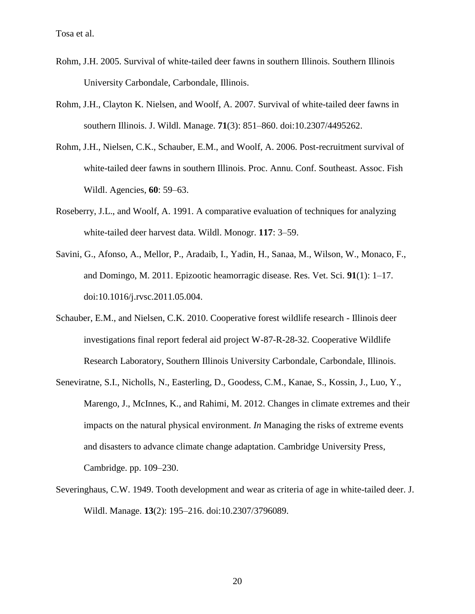- Rohm, J.H. 2005. Survival of white-tailed deer fawns in southern Illinois. Southern Illinois University Carbondale, Carbondale, Illinois.
- Rohm, J.H., Clayton K. Nielsen, and Woolf, A. 2007. Survival of white-tailed deer fawns in southern Illinois. J. Wildl. Manage. **71**(3): 851–860. doi:10.2307/4495262.
- Rohm, J.H., Nielsen, C.K., Schauber, E.M., and Woolf, A. 2006. Post-recruitment survival of white-tailed deer fawns in southern Illinois. Proc. Annu. Conf. Southeast. Assoc. Fish Wildl. Agencies, **60**: 59–63.
- Roseberry, J.L., and Woolf, A. 1991. A comparative evaluation of techniques for analyzing white-tailed deer harvest data. Wildl. Monogr. **117**: 3–59.
- Savini, G., Afonso, A., Mellor, P., Aradaib, I., Yadin, H., Sanaa, M., Wilson, W., Monaco, F., and Domingo, M. 2011. Epizootic heamorragic disease. Res. Vet. Sci. **91**(1): 1–17. doi:10.1016/j.rvsc.2011.05.004.
- Schauber, E.M., and Nielsen, C.K. 2010. Cooperative forest wildlife research Illinois deer investigations final report federal aid project W-87-R-28-32. Cooperative Wildlife Research Laboratory, Southern Illinois University Carbondale, Carbondale, Illinois.
- Seneviratne, S.I., Nicholls, N., Easterling, D., Goodess, C.M., Kanae, S., Kossin, J., Luo, Y., Marengo, J., McInnes, K., and Rahimi, M. 2012. Changes in climate extremes and their impacts on the natural physical environment. *In* Managing the risks of extreme events and disasters to advance climate change adaptation. Cambridge University Press, Cambridge. pp. 109–230.
- Severinghaus, C.W. 1949. Tooth development and wear as criteria of age in white-tailed deer. J. Wildl. Manage. **13**(2): 195–216. doi:10.2307/3796089.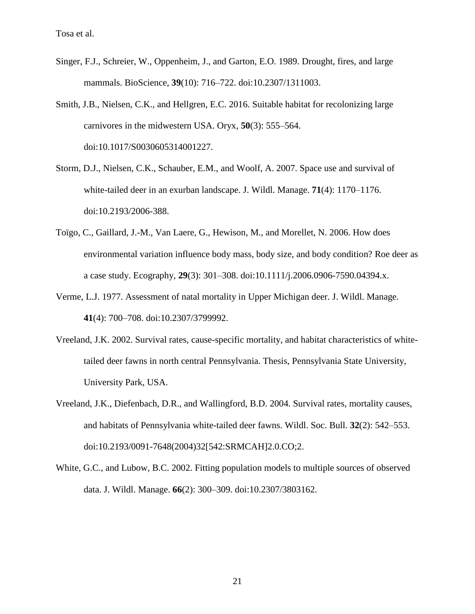- Singer, F.J., Schreier, W., Oppenheim, J., and Garton, E.O. 1989. Drought, fires, and large mammals. BioScience, **39**(10): 716–722. doi:10.2307/1311003.
- Smith, J.B., Nielsen, C.K., and Hellgren, E.C. 2016. Suitable habitat for recolonizing large carnivores in the midwestern USA. Oryx, **50**(3): 555–564. doi:10.1017/S0030605314001227.
- Storm, D.J., Nielsen, C.K., Schauber, E.M., and Woolf, A. 2007. Space use and survival of white-tailed deer in an exurban landscape. J. Wildl. Manage. **71**(4): 1170–1176. doi:10.2193/2006-388.
- Toïgo, C., Gaillard, J.-M., Van Laere, G., Hewison, M., and Morellet, N. 2006. How does environmental variation influence body mass, body size, and body condition? Roe deer as a case study. Ecography, **29**(3): 301–308. doi:10.1111/j.2006.0906-7590.04394.x.
- Verme, L.J. 1977. Assessment of natal mortality in Upper Michigan deer. J. Wildl. Manage. **41**(4): 700–708. doi:10.2307/3799992.
- Vreeland, J.K. 2002. Survival rates, cause-specific mortality, and habitat characteristics of whitetailed deer fawns in north central Pennsylvania. Thesis, Pennsylvania State University, University Park, USA.
- Vreeland, J.K., Diefenbach, D.R., and Wallingford, B.D. 2004. Survival rates, mortality causes, and habitats of Pennsylvania white-tailed deer fawns. Wildl. Soc. Bull. **32**(2): 542–553. doi:10.2193/0091-7648(2004)32[542:SRMCAH]2.0.CO;2.
- White, G.C., and Lubow, B.C. 2002. Fitting population models to multiple sources of observed data. J. Wildl. Manage. **66**(2): 300–309. doi:10.2307/3803162.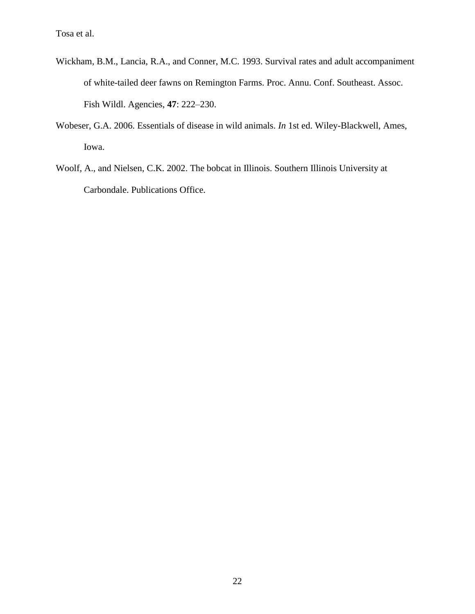- Wickham, B.M., Lancia, R.A., and Conner, M.C. 1993. Survival rates and adult accompaniment of white-tailed deer fawns on Remington Farms. Proc. Annu. Conf. Southeast. Assoc. Fish Wildl. Agencies, **47**: 222–230.
- Wobeser, G.A. 2006. Essentials of disease in wild animals. *In* 1st ed. Wiley-Blackwell, Ames, Iowa.
- Woolf, A., and Nielsen, C.K. 2002. The bobcat in Illinois. Southern Illinois University at Carbondale. Publications Office.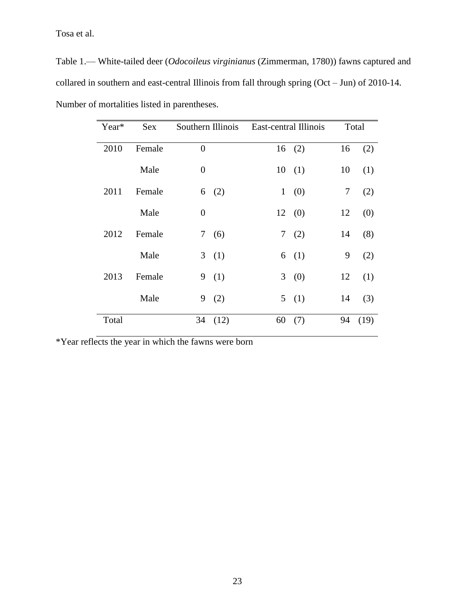Table 1.— White-tailed deer (*Odocoileus virginianus* (Zimmerman, 1780)) fawns captured and collared in southern and east-central Illinois from fall through spring (Oct – Jun) of 2010-14. Number of mortalities listed in parentheses.

| Year* | <b>Sex</b> | Southern Illinois | East-central Illinois | Total |      |
|-------|------------|-------------------|-----------------------|-------|------|
| 2010  | Female     | $\overline{0}$    | (2)<br>16             | 16    | (2)  |
|       | Male       | $\overline{0}$    | 10<br>(1)             | 10    | (1)  |
| 2011  | Female     | 6<br>(2)          | $\mathbf{1}$<br>(0)   | 7     | (2)  |
|       | Male       | $\overline{0}$    | 12(0)                 | 12    | (0)  |
| 2012  | Female     | (6)<br>7          | 7<br>(2)              | 14    | (8)  |
|       | Male       | (1)<br>3          | (1)<br>6              | 9     | (2)  |
| 2013  | Female     | 9<br>(1)          | 3<br>(0)              | 12    | (1)  |
|       | Male       | 9<br>(2)          | 5(1)                  | 14    | (3)  |
| Total |            | 34<br>(12)        | 60<br>(7)             | 94    | (19) |

\*Year reflects the year in which the fawns were born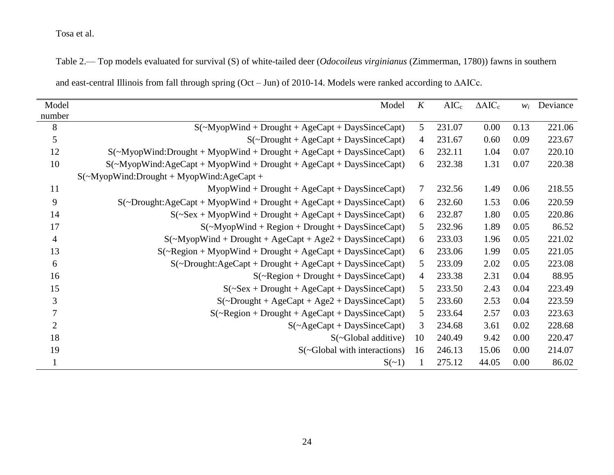Table 2.— Top models evaluated for survival (S) of white-tailed deer (*Odocoileus virginianus* (Zimmerman, 1780)) fawns in southern

|  | and east-central Illinois from fall through spring (Oct $-$ Jun) of 2010-14. Models were ranked according to $\triangle$ AICc. |
|--|--------------------------------------------------------------------------------------------------------------------------------|
|--|--------------------------------------------------------------------------------------------------------------------------------|

| Model          | Model                                                                                                        | K              | $AIC_c$ | $\triangle AIC_c$ | Wi   | Deviance |
|----------------|--------------------------------------------------------------------------------------------------------------|----------------|---------|-------------------|------|----------|
| number         |                                                                                                              |                |         |                   |      |          |
| 8              | $S(\sim Myop Wind + Drought + AgeCapt + DaysSinceCapt)$                                                      | 5              | 231.07  | 0.00              | 0.13 | 221.06   |
| 5              | $S(\sim Drought + AgeCapt + DaysSinceCapt)$                                                                  | $\overline{4}$ | 231.67  | 0.60              | 0.09 | 223.67   |
| 12             | $S(\sim Myop Wind: Drought + Myop Wind + Drought + AgeCapt + DaysSinceCapt)$                                 | 6              | 232.11  | 1.04              | 0.07 | 220.10   |
| 10             | $S(\sim Myop Wind:AgeCapt + Myop Wind + Drought + AgeCapt + DaysSinceCapt)$                                  | 6              | 232.38  | 1.31              | 0.07 | 220.38   |
|                | $S(\sim Myop Wind: Drought + Myop Wind: AgeCapt +$                                                           |                |         |                   |      |          |
| 11             | $MyopWind + Drought + AgeCapt + DaysSinceCapt)$                                                              | 7              | 232.56  | 1.49              | 0.06 | 218.55   |
| 9              | $S(\sim\text{Dropight:AgeCapt} + \text{MyopWind} + \text{Dropight} + \text{AgeCapt} + \text{DaySSinceCapt})$ | 6              | 232.60  | 1.53              | 0.06 | 220.59   |
| 14             | $S(\sim$ Sex + MyopWind + Drought + AgeCapt + DaysSinceCapt)                                                 | 6              | 232.87  | 1.80              | 0.05 | 220.86   |
| 17             | $S(\sim Myop Wind + Region + Drought + DaysSinceCapt)$                                                       | 5              | 232.96  | 1.89              | 0.05 | 86.52    |
| 4              | $S(\sim Myop Wind + Drought + AgeCapt + Age2 + DaysSinceCapt)$                                               | 6              | 233.03  | 1.96              | 0.05 | 221.02   |
| 13             | $S(\sim\!Region + Myop Wind + Drought + AgeCapt + DaysSinceCapt)$                                            | 6              | 233.06  | 1.99              | 0.05 | 221.05   |
| 6              | $S(\sim Drought: AgeCapt + Drought + AgeCapt + DaysSinceCapt)$                                               | 5              | 233.09  | 2.02              | 0.05 | 223.08   |
| 16             | $S(\sim\text{Region} + \text{Drought} + \text{DaysSinceCapt})$                                               | 4              | 233.38  | 2.31              | 0.04 | 88.95    |
| 15             | $S(\sim$ Sex + Drought + AgeCapt + DaysSinceCapt)                                                            | 5              | 233.50  | 2.43              | 0.04 | 223.49   |
| 3              | $S(\sim Drought + AgeCapt + Age2 + DaysSinceCapt)$                                                           | 5              | 233.60  | 2.53              | 0.04 | 223.59   |
| 7              | $S(\sim\text{Region} + \text{Dropnt} + \text{AgeCapt} + \text{Day} \cdot \text{SinceCapt})$                  | 5              | 233.64  | 2.57              | 0.03 | 223.63   |
| $\overline{2}$ | $S(\sim$ AgeCapt + DaysSinceCapt)                                                                            | 3              | 234.68  | 3.61              | 0.02 | 228.68   |
| 18             | $S(\sim Global additive)$                                                                                    | 10             | 240.49  | 9.42              | 0.00 | 220.47   |
| 19             | $S(-Global with interactions)$                                                                               | 16             | 246.13  | 15.06             | 0.00 | 214.07   |
|                | $S(\sim 1)$                                                                                                  |                | 275.12  | 44.05             | 0.00 | 86.02    |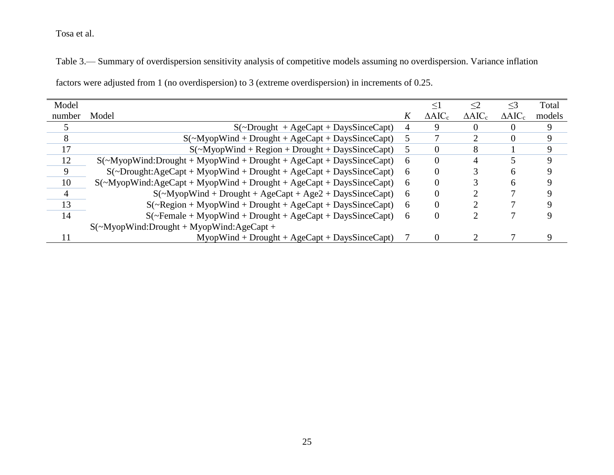Table 3.— Summary of overdispersion sensitivity analysis of competitive models assuming no overdispersion. Variance inflation

| Model  |                                                                                                    |   | $\leq$ 1          | $\leq$ 2          | $\leq$ 3          | Total       |
|--------|----------------------------------------------------------------------------------------------------|---|-------------------|-------------------|-------------------|-------------|
| number | Model                                                                                              | ĸ | $\triangle AIC_c$ | $\triangle AIC_c$ | $\triangle AIC_c$ | models      |
|        | $S(-Drought + AgeCapt + DaysSinceCapt)$                                                            | 4 | 9                 |                   |                   |             |
| 8      | $S(\sim Myop Wind + Drought + AgeCapt + DaysSinceCapt)$                                            | 5 |                   |                   | $\Omega$          | 9           |
| 17     | $S(\sim Myop Wind + Region + Drought + DaysSinceCapt)$                                             | 5 | $\Omega$          |                   |                   | $\mathbf Q$ |
| 12     | $S(\sim Myop Wind: Drought + Myop Wind + Drought + Age Capt + DaysSince Capt)$                     | 6 | 0                 |                   |                   | $\mathbf Q$ |
| 9      | $S(\sim Drought: AgeCapt + MyopWind + Drought + AgeCapt + DaysSinceCapt)$                          | 6 | $\theta$          |                   | h                 |             |
| 10     | $S(\sim Myop Wind:AgeCapt + Myop Wind + Drought + AgeCapt + DaysSinceCapt)$                        | 6 | $\theta$          |                   | h                 |             |
| 4      | $S(\sim Myop Wind + Drought + AgeCapt + Age2 + DaysSinceCapt)$                                     | 6 | $\theta$          |                   |                   |             |
| 13     | $S(\sim\text{Region} + \text{MyopWind} + \text{Dropught} + \text{AgeCapt} + \text{DaysSinceCapt})$ | 6 | $\theta$          |                   |                   |             |
| 14     | $S(\sim$ Female + MyopWind + Drought + AgeCapt + DaysSinceCapt)                                    | 6 | $\theta$          |                   |                   |             |
|        | $S(\sim Myop Wind: Drought + Myop Wind: AgeCapt +$                                                 |   |                   |                   |                   |             |
|        | $M$ yopWind + Drought + AgeCapt + DaysSinceCapt)                                                   |   | $\Omega$          |                   |                   |             |

factors were adjusted from 1 (no overdispersion) to 3 (extreme overdispersion) in increments of 0.25.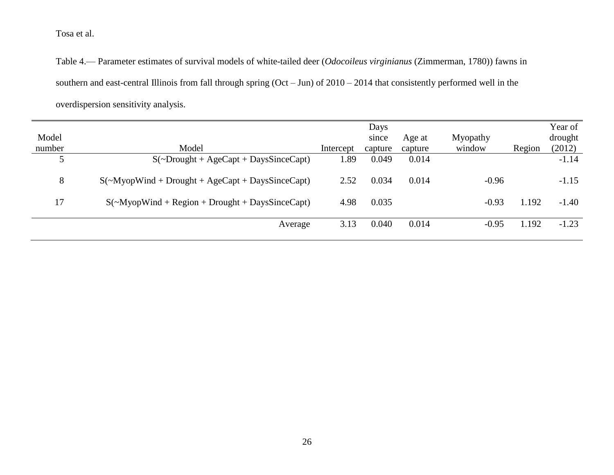Table 4.— Parameter estimates of survival models of white-tailed deer (*Odocoileus virginianus* (Zimmerman, 1780)) fawns in southern and east-central Illinois from fall through spring (Oct – Jun) of 2010 – 2014 that consistently performed well in the overdispersion sensitivity analysis.

|        |                                                                               |           | Days    |         |          |        | Year of |
|--------|-------------------------------------------------------------------------------|-----------|---------|---------|----------|--------|---------|
| Model  |                                                                               |           | since   | Age at  | Myopathy |        | drought |
| number | Model                                                                         | Intercept | capture | capture | window   | Region | (2012)  |
|        | $S(\sim\text{Dropight} + \text{AgeCapt} + \text{Day} \cdot \text{SinceCapt})$ | 1.89      | 0.049   | 0.014   |          |        | $-1.14$ |
| 8      | $S(\sim Myop Wind + Drought + AgeCapt + DaysSinceCapt)$                       | 2.52      | 0.034   | 0.014   | $-0.96$  |        | $-1.15$ |
| 17     | $S(\sim Myop Wind + Region + Drought + DaysSinceCapt)$                        | 4.98      | 0.035   |         | $-0.93$  | 1.192  | $-1.40$ |
|        | Average                                                                       | 3.13      | 0.040   | 0.014   | $-0.95$  | 1.192  | $-1.23$ |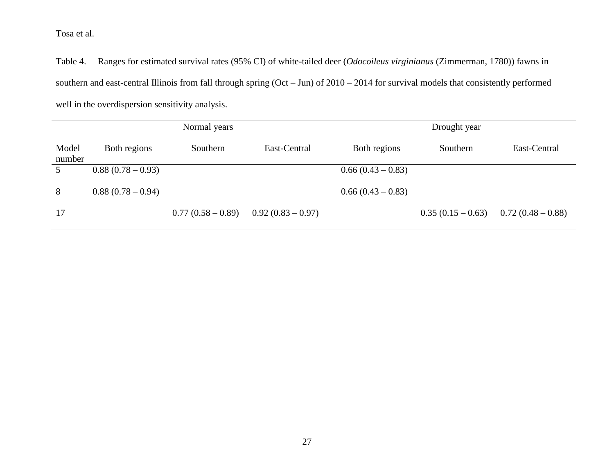Table 4.— Ranges for estimated survival rates (95% CI) of white-tailed deer (*Odocoileus virginianus* (Zimmerman, 1780)) fawns in southern and east-central Illinois from fall through spring (Oct – Jun) of 2010 – 2014 for survival models that consistently performed well in the overdispersion sensitivity analysis.

| Normal years    |                   |                   |                   |                   | Drought year      |                   |
|-----------------|-------------------|-------------------|-------------------|-------------------|-------------------|-------------------|
| Model<br>number | Both regions      | Southern          | East-Central      | Both regions      | Southern          | East-Central      |
|                 | $0.88(0.78-0.93)$ |                   |                   | $0.66(0.43-0.83)$ |                   |                   |
| 8               | $0.88(0.78-0.94)$ |                   |                   | $0.66(0.43-0.83)$ |                   |                   |
| 17              |                   | $0.77(0.58-0.89)$ | $0.92(0.83-0.97)$ |                   | $0.35(0.15-0.63)$ | $0.72(0.48-0.88)$ |